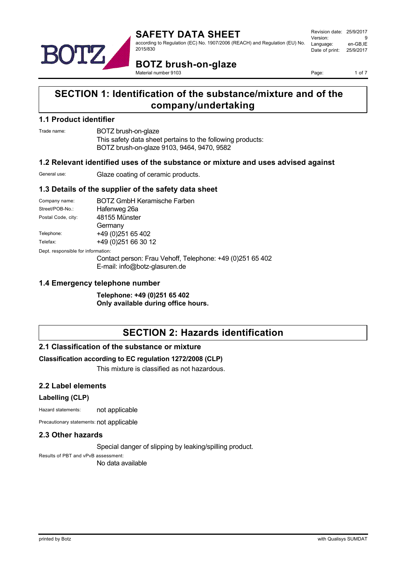

Revision date: 25/9/2017 Version: 9<br>Language: en-GB IE Language: Date of print: 25/9/2017

**BOTZ brush-on-glaze** Material number 9103

Page: 1 of 7

# **SECTION 1: Identification of the substance/mixture and of the company/undertaking**

### **1.1 Product identifier**

Trade name: BOTZ brush-on-glaze

This safety data sheet pertains to the following products: BOTZ brush-on-glaze 9103, 9464, 9470, 9582

## **1.2 Relevant identified uses of the substance or mixture and uses advised against**

General use: Glaze coating of ceramic products.

# **1.3 Details of the supplier of the safety data sheet**

| Company name:                      | <b>BOTZ GmbH Keramische Farben</b>                        |  |  |
|------------------------------------|-----------------------------------------------------------|--|--|
| Street/POB-No.:                    | Hafenweg 26a                                              |  |  |
| Postal Code, city:                 | 48155 Münster                                             |  |  |
|                                    | Germany                                                   |  |  |
| Telephone:                         | +49 (0) 251 65 402                                        |  |  |
| Telefax:                           | +49 (0) 251 66 30 12                                      |  |  |
| Dept. responsible for information: |                                                           |  |  |
|                                    | Contact person: Frau Vehoff, Telephone: +49 (0)251 65 402 |  |  |
|                                    | $E$ moil: info@botz algourna do                           |  |  |

E-mail: info@botz-glasuren.de

## **1.4 Emergency telephone number**

**Telephone: +49 (0)251 65 402 Only available during office hours.**

# **SECTION 2: Hazards identification**

# **2.1 Classification of the substance or mixture**

#### **Classification according to EC regulation 1272/2008 (CLP)**

This mixture is classified as not hazardous.

#### **2.2 Label elements**

#### **Labelling (CLP)**

Hazard statements: not applicable

Precautionary statements: not applicable

#### **2.3 Other hazards**

Special danger of slipping by leaking/spilling product.

Results of PBT and vPvB assessment: No data available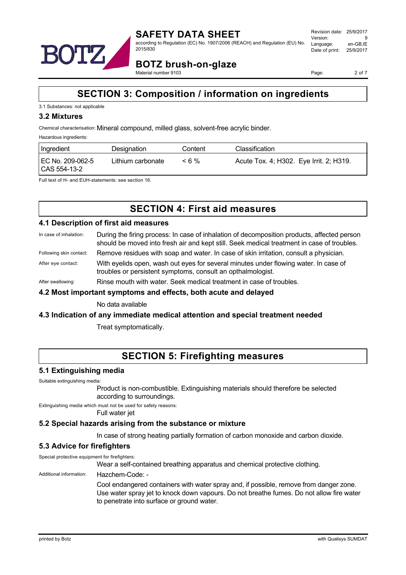

**BOTZ brush-on-glaze** Material number 9103

Page: 2 of 7

# **SECTION 3: Composition / information on ingredients**

#### 3.1 Substances: not applicable

#### **3.2 Mixtures**

Chemical characterisation: Mineral compound, milled glass, solvent-free acrylic binder.

Hazardous ingredients:

| Ingredient                       | Designation       | Content | Classification                          |
|----------------------------------|-------------------|---------|-----------------------------------------|
| EC No. 209-062-5<br>CAS 554-13-2 | Lithium carbonate | < 6 %   | Acute Tox. 4; H302. Eye Irrit. 2; H319. |

Full text of H- and EUH-statements: see section 16.

# **SECTION 4: First aid measures**

#### **4.1 Description of first aid measures**

- In case of inhalation: During the firing process: In case of inhalation of decomposition products, affected person should be moved into fresh air and kept still. Seek medical treatment in case of troubles.
- Following skin contact: Remove residues with soap and water. In case of skin irritation, consult a physician.
- After eye contact: With eyelids open, wash out eyes for several minutes under flowing water. In case of troubles or persistent symptoms, consult an opthalmologist.

After swallowing: Rinse mouth with water. Seek medical treatment in case of troubles.

#### **4.2 Most important symptoms and effects, both acute and delayed**

No data available

#### **4.3 Indication of any immediate medical attention and special treatment needed**

Treat symptomatically.

# **SECTION 5: Firefighting measures**

#### **5.1 Extinguishing media**

Suitable extinguishing media:

Product is non-combustible. Extinguishing materials should therefore be selected according to surroundings.

Extinguishing media which must not be used for safety reasons:

Full water jet

#### **5.2 Special hazards arising from the substance or mixture**

In case of strong heating partially formation of carbon monoxide and carbon dioxide.

# **5.3 Advice for firefighters**

Special protective equipment for firefighters:

Wear a self-contained breathing apparatus and chemical protective clothing.

#### Additional information: Hazchem-Code: -

Cool endangered containers with water spray and, if possible, remove from danger zone. Use water spray jet to knock down vapours. Do not breathe fumes. Do not allow fire water to penetrate into surface or ground water.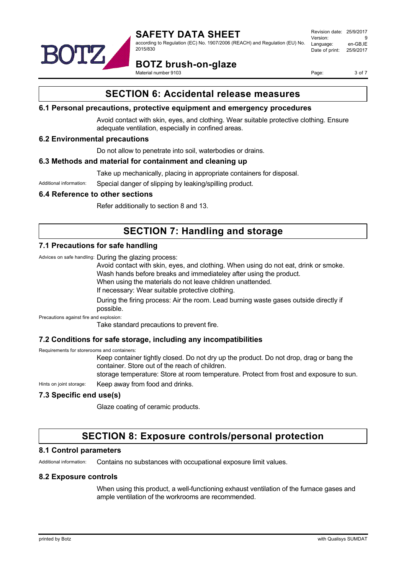

according to Regulation (EC) No. 1907/2006 (REACH) and Regulation (EU) No. 2015/830

Revision date: 25/9/2017 Version: 9<br>Language: en-GB IE Language: Date of print: 25/9/2017

**BOTZ brush-on-glaze**

Material number 9103

Page: 3 of 7

# **SECTION 6: Accidental release measures**

## **6.1 Personal precautions, protective equipment and emergency procedures**

Avoid contact with skin, eyes, and clothing. Wear suitable protective clothing. Ensure adequate ventilation, especially in confined areas.

# **6.2 Environmental precautions**

Do not allow to penetrate into soil, waterbodies or drains.

## **6.3 Methods and material for containment and cleaning up**

Take up mechanically, placing in appropriate containers for disposal.

Additional information: Special danger of slipping by leaking/spilling product.

## **6.4 Reference to other sections**

Refer additionally to section 8 and 13.

# **SECTION 7: Handling and storage**

## **7.1 Precautions for safe handling**

Advices on safe handling: During the glazing process:

Avoid contact with skin, eyes, and clothing. When using do not eat, drink or smoke.

Wash hands before breaks and immediateley after using the product.

When using the materials do not leave children unattended.

If necessary: Wear suitable protective clothing.

During the firing process: Air the room. Lead burning waste gases outside directly if possible.

Precautions against fire and explosion:

Take standard precautions to prevent fire.

# **7.2 Conditions for safe storage, including any incompatibilities**

Requirements for storerooms and containers:

Keep container tightly closed. Do not dry up the product. Do not drop, drag or bang the container. Store out of the reach of children.

storage temperature: Store at room temperature. Protect from frost and exposure to sun.

Hints on joint storage: Keep away from food and drinks.

# **7.3 Specific end use(s)**

Glaze coating of ceramic products.

# **SECTION 8: Exposure controls/personal protection**

#### **8.1 Control parameters**

Additional information: Contains no substances with occupational exposure limit values.

#### **8.2 Exposure controls**

When using this product, a well-functioning exhaust ventilation of the furnace gases and ample ventilation of the workrooms are recommended.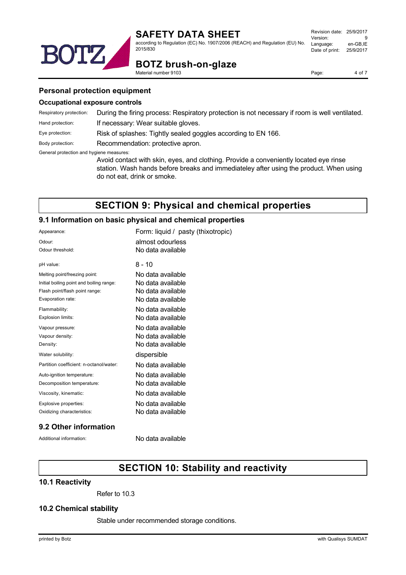

Revision date: 25/9/2017 Version: 9<br>Language: en-GB.IE Language: Date of print: 25/9/2017



**BOTZ brush-on-glaze**

Page: 4 of 7

#### **Personal protection equipment**

#### **Occupational exposure controls**

| Respiratory protection:                  | During the firing process: Respiratory protection is not necessary if room is well ventilated.                                                                                                                 |  |  |
|------------------------------------------|----------------------------------------------------------------------------------------------------------------------------------------------------------------------------------------------------------------|--|--|
| Hand protection:                         | If necessary: Wear suitable gloves.                                                                                                                                                                            |  |  |
| Eye protection:                          | Risk of splashes: Tightly sealed goggles according to EN 166.                                                                                                                                                  |  |  |
| Body protection:                         | Recommendation: protective apron.                                                                                                                                                                              |  |  |
| General protection and hygiene measures: | Avoid contact with skin, eyes, and clothing. Provide a conveniently located eye rinse<br>station. Wash hands before breaks and immediateley after using the product. When using<br>do not eat, drink or smoke. |  |  |

# **SECTION 9: Physical and chemical properties**

#### **9.1 Information on basic physical and chemical properties**

2015/830

Material number 9103

| Appearance:                              | Form: liquid / pasty (thixotropic) |
|------------------------------------------|------------------------------------|
| Odour:                                   | almost odourless                   |
| Odour threshold:                         | No data available                  |
| pH value:                                | 8 - 10                             |
| Melting point/freezing point:            | No data available                  |
| Initial boiling point and boiling range: | No data available                  |
| Flash point/flash point range:           | No data available                  |
| Evaporation rate:                        | No data available                  |
| Flammability:                            | No data available                  |
| Explosion limits:                        | No data available                  |
| Vapour pressure:                         | No data available                  |
| Vapour density:                          | No data available                  |
| Density:                                 | No data available                  |
| Water solubility:                        | dispersible                        |
| Partition coefficient: n-octanol/water:  | No data available                  |
| Auto-ignition temperature:               | No data available                  |
| Decomposition temperature:               | No data available                  |
| Viscosity, kinematic:                    | No data available                  |
| Explosive properties:                    | No data available                  |
| Oxidizing characteristics:               | No data available                  |

# **9.2 Other information**

Additional information: No data available

# **SECTION 10: Stability and reactivity**

### **10.1 Reactivity**

Refer to 10.3

#### **10.2 Chemical stability**

Stable under recommended storage conditions.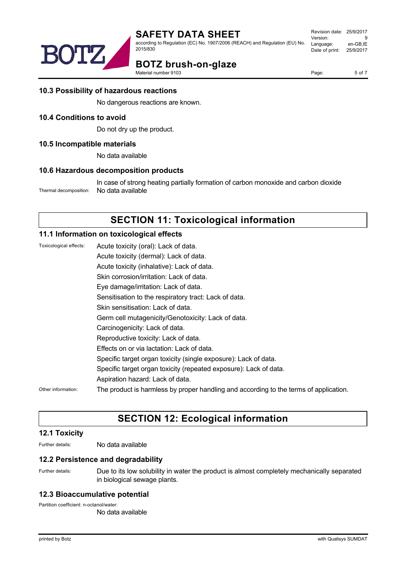

according to Regulation (EC) No. 1907/2006 (REACH) and Regulation (EU) No. 2015/830

# **DTZ BOTZ brush-on-glaze**

Material number 9103

Page: 5 of 7

# **10.3 Possibility of hazardous reactions**

No dangerous reactions are known.

## **10.4 Conditions to avoid**

Do not dry up the product.

## **10.5 Incompatible materials**

No data available

## **10.6 Hazardous decomposition products**

In case of strong heating partially formation of carbon monoxide and carbon dioxide Thermal decomposition: No data available

# **SECTION 11: Toxicological information**

## **11.1 Information on toxicological effects**

Toxicological effects: Acute toxicity (oral): Lack of data.

Acute toxicity (dermal): Lack of data. Acute toxicity (inhalative): Lack of data. Skin corrosion/irritation: Lack of data. Eye damage/irritation: Lack of data. Sensitisation to the respiratory tract: Lack of data. Skin sensitisation: Lack of data. Germ cell mutagenicity/Genotoxicity: Lack of data. Carcinogenicity: Lack of data. Reproductive toxicity: Lack of data. Effects on or via lactation: Lack of data. Specific target organ toxicity (single exposure): Lack of data. Specific target organ toxicity (repeated exposure): Lack of data. Aspiration hazard: Lack of data. Other information: The product is harmless by proper handling and according to the terms of application.

# **SECTION 12: Ecological information**

# **12.1 Toxicity**

Further details: No data available

#### **12.2 Persistence and degradability**

Further details: Due to its low solubility in water the product is almost completely mechanically separated in biological sewage plants.

#### **12.3 Bioaccumulative potential**

Partition coefficient: n-octanol/water:

No data available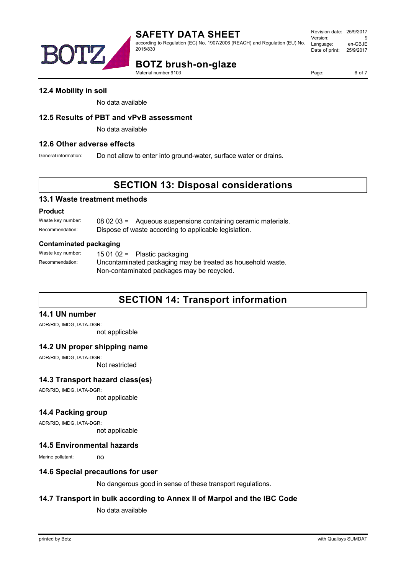

# **SAFETY DATA SHEET**

according to Regulation (EC) No. 1907/2006 (REACH) and Regulation (EU) No. 2015/830

Revision date: 25/9/2017 Version: 9<br>Language: en-GB IE Language: Date of print: 25/9/2017

# **BOTZ brush-on-glaze**

Material number 9103

Page: 6 of 7

#### **12.4 Mobility in soil**

No data available

#### **12.5 Results of PBT and vPvB assessment**

No data available

#### **12.6 Other adverse effects**

General information: Do not allow to enter into ground-water, surface water or drains.

# **SECTION 13: Disposal considerations**

#### **13.1 Waste treatment methods**

#### **Product**

Waste key number: 08 02 03 = Aqueous suspensions containing ceramic materials. Recommendation: Dispose of waste according to applicable legislation.

#### **Contaminated packaging**

Waste key number: 15 01 02 = Plastic packaging Recommendation: Uncontaminated packaging may be treated as household waste. Non-contaminated packages may be recycled.

# **SECTION 14: Transport information**

# **14.1 UN number**

ADR/RID, IMDG, IATA-DGR:

not applicable

#### **14.2 UN proper shipping name**

ADR/RID, IMDG, IATA-DGR: Not restricted

# **14.3 Transport hazard class(es)**

ADR/RID, IMDG, IATA-DGR: not applicable

# **14.4 Packing group**

ADR/RID, IMDG, IATA-DGR:

not applicable

#### **14.5 Environmental hazards**

Marine pollutant: no

#### **14.6 Special precautions for user**

No dangerous good in sense of these transport regulations.

# **14.7 Transport in bulk according to Annex II of Marpol and the IBC Code**

No data available